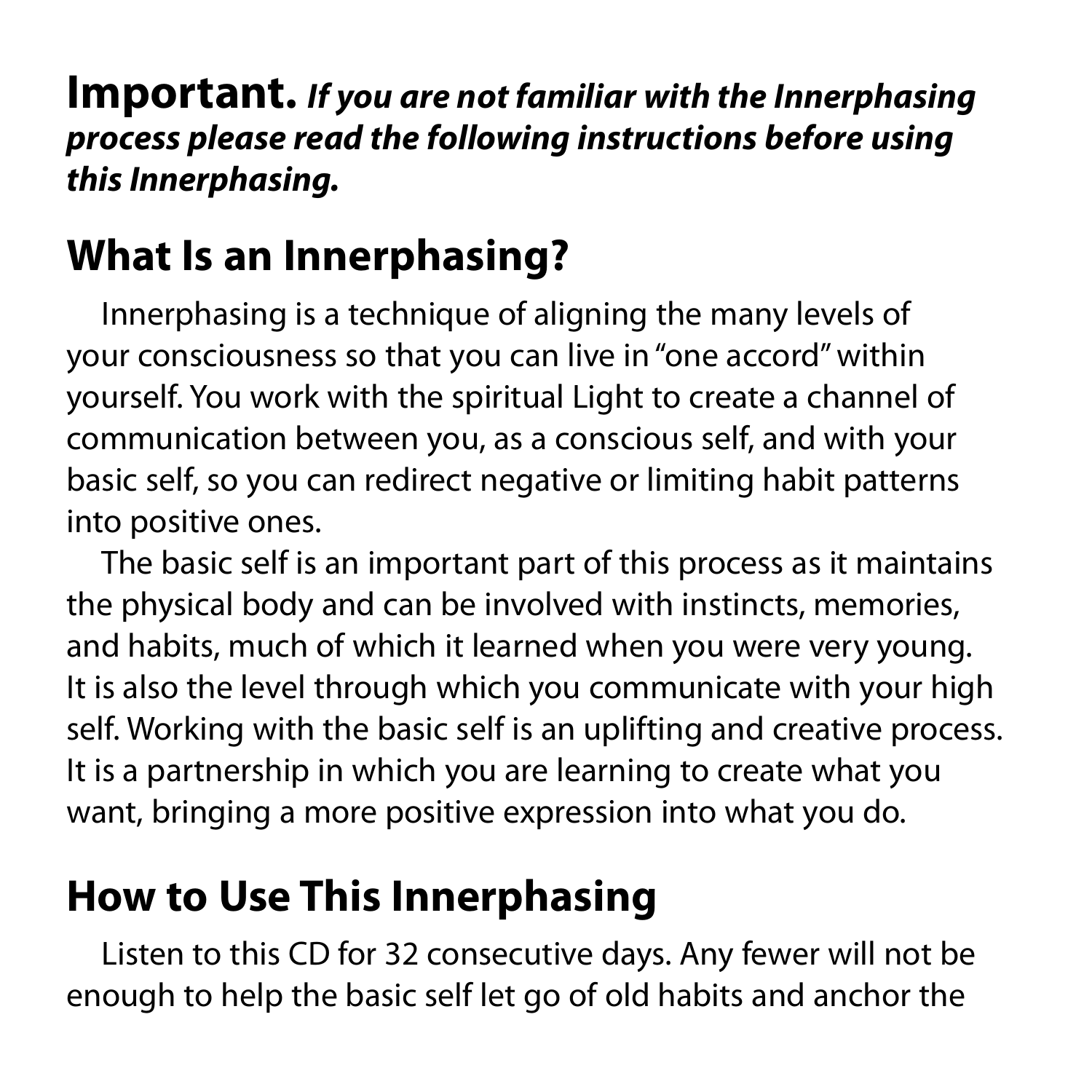**Important.** *If you are not familiar with the Innerphasing process please read the following instructions before using this Innerphasing.*

# **What Is an Innerphasing?**

Innerphasing is a technique of aligning the many levels of your consciousness so that you can live in "one accord" within yourself. You work with the spiritual Light to create a channel of communication between you, as a conscious self, and with your basic self, so you can redirect negative or limiting habit patterns into positive ones.

The basic self is an important part of this process as it maintains the physical body and can be involved with instincts, memories, and habits, much of which it learned when you were very young. It is also the level through which you communicate with your high self. Working with the basic self is an uplifting and creative process. It is a partnership in which you are learning to create what you want, bringing a more positive expression into what you do.

# **How to Use This Innerphasing**

Listen to this CD for 32 consecutive days. Any fewer will not be enough to help the basic self let go of old habits and anchor the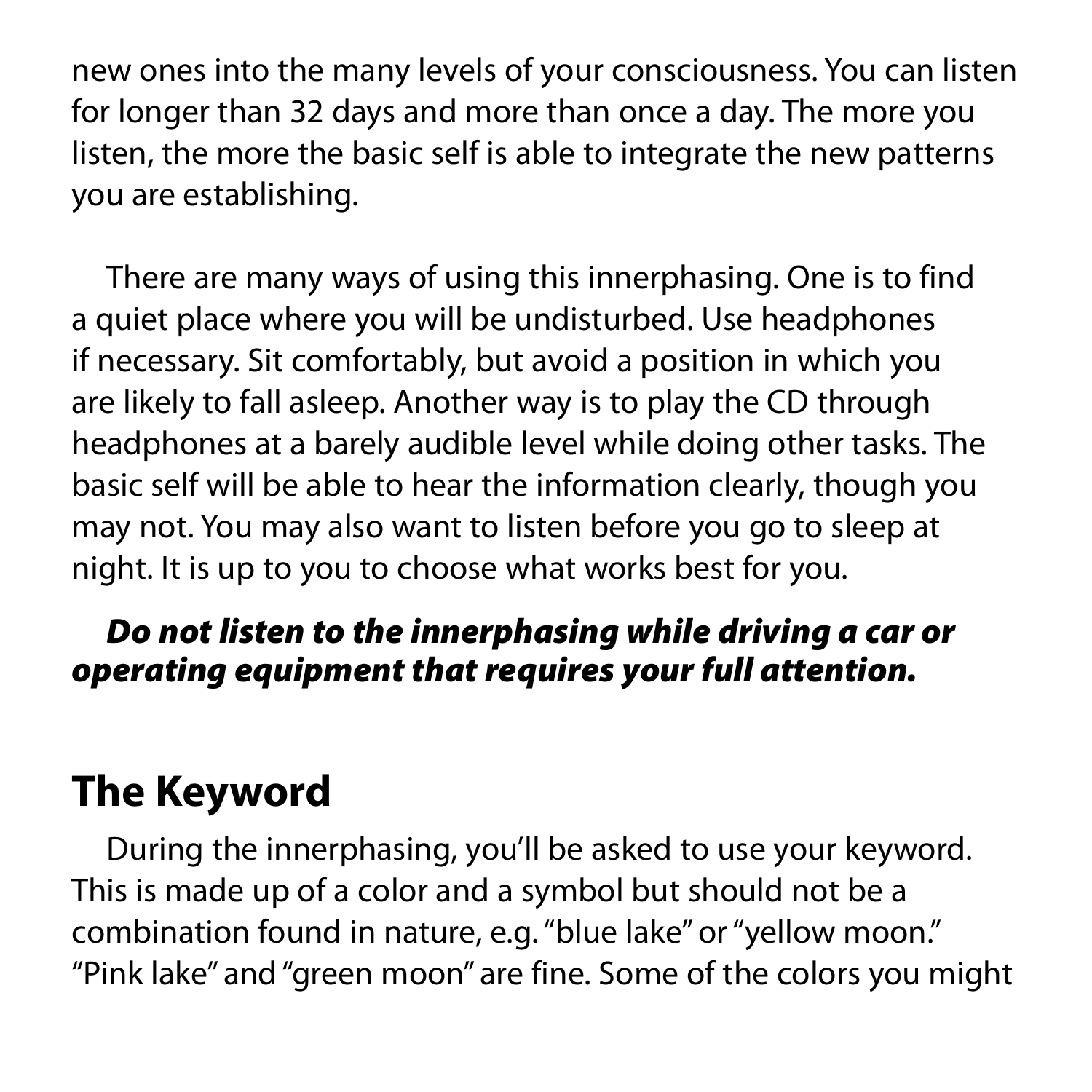new ones into the many levels of your consciousness. You can listen for longer than 32 days and more than once a day. The more you listen, the more the basic self is able to integrate the new patterns you are establishing.

There are many ways of using this innerphasing. One is to find a quiet place where you will be undisturbed. Use headphones if necessary. Sit comfortably, but avoid a position in which you are likely to fall asleep. Another way is to play the CD through headphones at a barely audible level while doing other tasks. The basic self will be able to hear the information clearly, though you may not. You may also want to listen before you go to sleep at night. It is up to you to choose what works best for you.

#### *Do not listen to the innerphasing while driving a car or operating equipment that requires your full attention.*

### **The Keyword**

During the innerphasing, you'll be asked to use your keyword. This is made up of a color and a symbol but should not be a combination found in nature, e.g. "blue lake" or "yellow moon." "Pink lake" and "green moon" are fine. Some of the colors you might